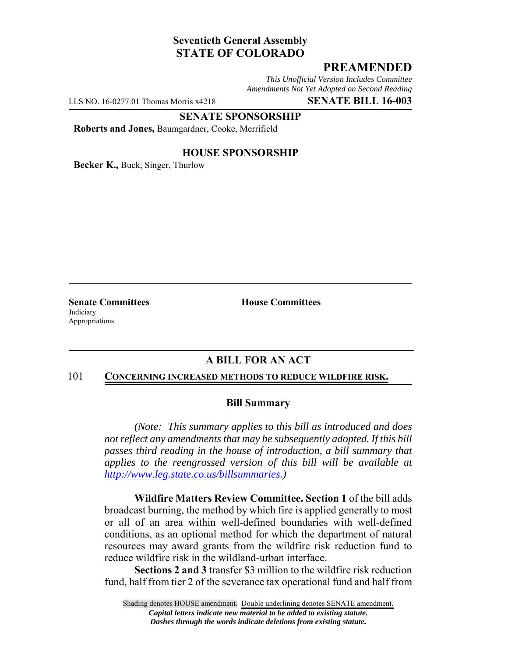# **Seventieth General Assembly STATE OF COLORADO**

# **PREAMENDED**

*This Unofficial Version Includes Committee Amendments Not Yet Adopted on Second Reading*

LLS NO. 16-0277.01 Thomas Morris x4218 **SENATE BILL 16-003**

### **SENATE SPONSORSHIP**

**Roberts and Jones,** Baumgardner, Cooke, Merrifield

### **HOUSE SPONSORSHIP**

**Becker K.,** Buck, Singer, Thurlow

**Judiciary** Appropriations

**Senate Committees House Committees** 

## **A BILL FOR AN ACT**

#### 101 **CONCERNING INCREASED METHODS TO REDUCE WILDFIRE RISK.**

#### **Bill Summary**

*(Note: This summary applies to this bill as introduced and does not reflect any amendments that may be subsequently adopted. If this bill passes third reading in the house of introduction, a bill summary that applies to the reengrossed version of this bill will be available at http://www.leg.state.co.us/billsummaries.)*

**Wildfire Matters Review Committee. Section 1** of the bill adds broadcast burning, the method by which fire is applied generally to most or all of an area within well-defined boundaries with well-defined conditions, as an optional method for which the department of natural resources may award grants from the wildfire risk reduction fund to reduce wildfire risk in the wildland-urban interface.

**Sections 2 and 3** transfer \$3 million to the wildfire risk reduction fund, half from tier 2 of the severance tax operational fund and half from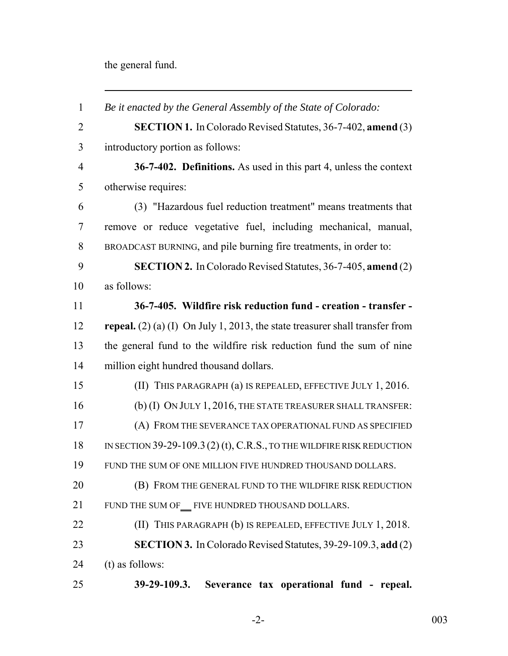the general fund.

 *Be it enacted by the General Assembly of the State of Colorado:* **SECTION 1.** In Colorado Revised Statutes, 36-7-402, **amend** (3) introductory portion as follows: **36-7-402. Definitions.** As used in this part 4, unless the context otherwise requires: (3) "Hazardous fuel reduction treatment" means treatments that remove or reduce vegetative fuel, including mechanical, manual, BROADCAST BURNING, and pile burning fire treatments, in order to: **SECTION 2.** In Colorado Revised Statutes, 36-7-405, **amend** (2) as follows: **36-7-405. Wildfire risk reduction fund - creation - transfer - repeal.** (2) (a) (I) On July 1, 2013, the state treasurer shall transfer from the general fund to the wildfire risk reduction fund the sum of nine million eight hundred thousand dollars. (II) THIS PARAGRAPH (a) IS REPEALED, EFFECTIVE JULY 1, 2016. (b) (I) ON JULY 1, 2016, THE STATE TREASURER SHALL TRANSFER: (A) FROM THE SEVERANCE TAX OPERATIONAL FUND AS SPECIFIED IN SECTION 39-29-109.3 (2) (t), C.R.S., TO THE WILDFIRE RISK REDUCTION FUND THE SUM OF ONE MILLION FIVE HUNDRED THOUSAND DOLLARS. **(B) FROM THE GENERAL FUND TO THE WILDFIRE RISK REDUCTION**  FUND THE SUM OF FIVE HUNDRED THOUSAND DOLLARS. **(II) THIS PARAGRAPH (b) IS REPEALED, EFFECTIVE JULY 1, 2018. SECTION 3.** In Colorado Revised Statutes, 39-29-109.3, **add** (2) (t) as follows: **39-29-109.3. Severance tax operational fund - repeal.**

-2- 003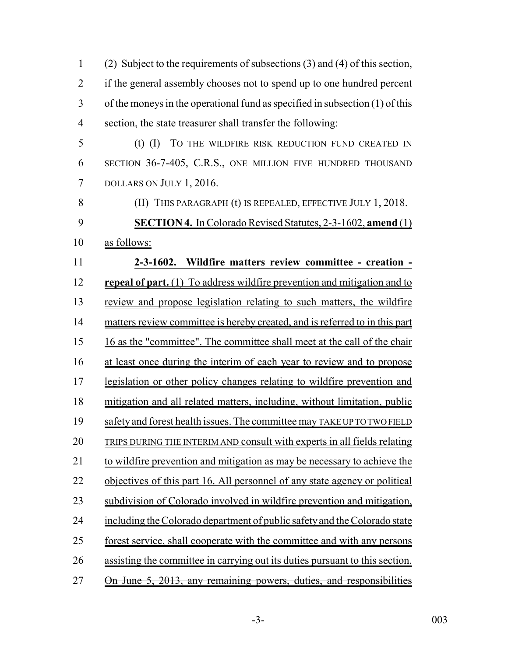| $\mathbf{1}$   | (2) Subject to the requirements of subsections $(3)$ and $(4)$ of this section, |
|----------------|---------------------------------------------------------------------------------|
| $\overline{2}$ | if the general assembly chooses not to spend up to one hundred percent          |
| 3              | of the moneys in the operational fund as specified in subsection $(1)$ of this  |
| $\overline{4}$ | section, the state treasurer shall transfer the following:                      |
| 5              | $(I)$ $(I)$<br>TO THE WILDFIRE RISK REDUCTION FUND CREATED IN                   |
| 6              | SECTION 36-7-405, C.R.S., ONE MILLION FIVE HUNDRED THOUSAND                     |
| 7              | DOLLARS ON JULY 1, 2016.                                                        |
| 8              | (II) THIS PARAGRAPH (t) IS REPEALED, EFFECTIVE JULY 1, 2018.                    |
| 9              | <b>SECTION 4.</b> In Colorado Revised Statutes, 2-3-1602, amend (1)             |
| 10             | as follows:                                                                     |
| 11             | 2-3-1602. Wildfire matters review committee - creation -                        |
| 12             | <b>repeal of part.</b> (1) To address wildfire prevention and mitigation and to |
| 13             | review and propose legislation relating to such matters, the wildfire           |
| 14             | matters review committee is hereby created, and is referred to in this part     |
| 15             | 16 as the "committee". The committee shall meet at the call of the chair        |
| 16             | at least once during the interim of each year to review and to propose          |
| 17             | legislation or other policy changes relating to wildfire prevention and         |
| 18             | mitigation and all related matters, including, without limitation, public       |
| 19             | safety and forest health issues. The committee may TAKE UP TO TWO FIELD         |
| 20             | <b>TRIPS DURING THE INTERIM AND consult with experts in all fields relating</b> |
| 21             | to wildfire prevention and mitigation as may be necessary to achieve the        |
| 22             | objectives of this part 16. All personnel of any state agency or political      |
| 23             | subdivision of Colorado involved in wildfire prevention and mitigation,         |
| 24             | including the Colorado department of public safety and the Colorado state       |
| 25             | forest service, shall cooperate with the committee and with any persons         |
| 26             | assisting the committee in carrying out its duties pursuant to this section.    |
| 27             | <u>On June 5, 2013, any remaining powers, duties, and responsibilities</u>      |